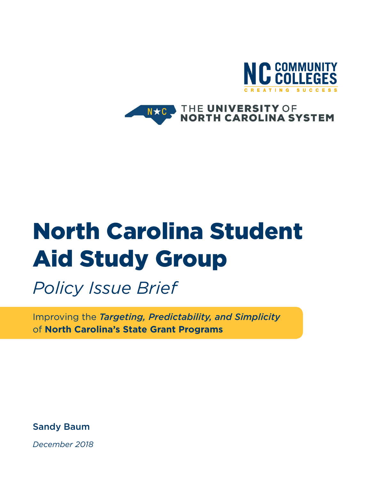

#### THE UNIVERSITY OF<br>NORTH CAROLINA SYSTEM  $N \star C$

# North Carolina Student Aid Study Group

*Policy Issue Brief*

Improving the *Targeting, Predictability, and Simplicity* of **North Carolina's State Grant Programs**

Sandy Baum

*December 2018*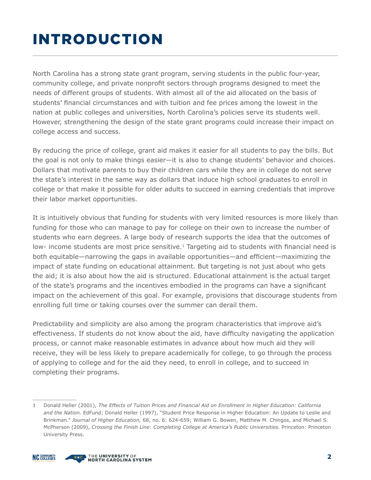# INTRODUCTION

North Carolina has a strong state grant program, serving students in the public four-year, community college, and private nonprofit sectors through programs designed to meet the needs of different groups of students. With almost all of the aid allocated on the basis of students' financial circumstances and with tuition and fee prices among the lowest in the nation at public colleges and universities, North Carolina's policies serve its students well. However, strengthening the design of the state grant programs could increase their impact on college access and success.

By reducing the price of college, grant aid makes it easier for all students to pay the bills. But the goal is not only to make things easier—it is also to change students' behavior and choices. Dollars that motivate parents to buy their children cars while they are in college do not serve the state's interest in the same way as dollars that induce high school graduates to enroll in college or that make it possible for older adults to succeed in earning credentials that improve their labor market opportunities.

It is intuitively obvious that funding for students with very limited resources is more likely than funding for those who can manage to pay for college on their own to increase the number of students who earn degrees. A large body of research supports the idea that the outcomes of low- income students are most price sensitive.<sup>1</sup> Targeting aid to students with financial need is both equitable—narrowing the gaps in available opportunities—and efficient—maximizing the impact of state funding on educational attainment. But targeting is not just about who gets the aid; it is also about how the aid is structured. Educational attainment is the actual target of the state's programs and the incentives embodied in the programs can have a significant impact on the achievement of this goal. For example, provisions that discourage students from enrolling full time or taking courses over the summer can derail them.

Predictability and simplicity are also among the program characteristics that improve aid's effectiveness. If students do not know about the aid, have difficulty navigating the application process, or cannot make reasonable estimates in advance about how much aid they will receive, they will be less likely to prepare academically for college, to go through the process of applying to college and for the aid they need, to enroll in college, and to succeed in completing their programs.

<sup>1</sup> Donald Heller (2001), *The Effects of Tuition Prices and Financial Aid on Enrollment in Higher Education: California and the Nation.* EdFund; Donald Heller (1997), "Student Price Response in Higher Education: An Update to Leslie and Brinkman." *Journal of Higher Education,* 68, no. 6: 624-659; William G. Bowen, Matthew M. Chingos, and Michael S. McPherson (2009), *Crossing the Finish Line: Completing College at America's Public Universities.* Princeton: Princeton University Press.



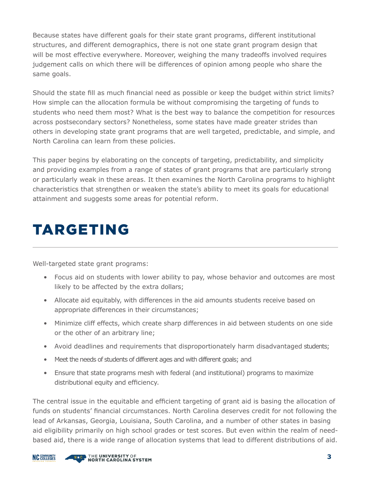Because states have different goals for their state grant programs, different institutional structures, and different demographics, there is not one state grant program design that will be most effective everywhere. Moreover, weighing the many tradeoffs involved requires judgement calls on which there will be differences of opinion among people who share the same goals.

Should the state fill as much financial need as possible or keep the budget within strict limits? How simple can the allocation formula be without compromising the targeting of funds to students who need them most? What is the best way to balance the competition for resources across postsecondary sectors? Nonetheless, some states have made greater strides than others in developing state grant programs that are well targeted, predictable, and simple, and North Carolina can learn from these policies.

This paper begins by elaborating on the concepts of targeting, predictability, and simplicity and providing examples from a range of states of grant programs that are particularly strong or particularly weak in these areas. It then examines the North Carolina programs to highlight characteristics that strengthen or weaken the state's ability to meet its goals for educational attainment and suggests some areas for potential reform.

# TARGETING

Well-targeted state grant programs:

- Focus aid on students with lower ability to pay, whose behavior and outcomes are most likely to be affected by the extra dollars;
- Allocate aid equitably, with differences in the aid amounts students receive based on appropriate differences in their circumstances;
- Minimize cliff effects, which create sharp differences in aid between students on one side or the other of an arbitrary line;
- Avoid deadlines and requirements that disproportionately harm disadvantaged students;
- Meet the needs of students of different ages and with different goals; and
- Ensure that state programs mesh with federal (and institutional) programs to maximize distributional equity and efficiency.

The central issue in the equitable and efficient targeting of grant aid is basing the allocation of funds on students' financial circumstances. North Carolina deserves credit for not following the lead of Arkansas, Georgia, Louisiana, South Carolina, and a number of other states in basing aid eligibility primarily on high school grades or test scores. But even within the realm of needbased aid, there is a wide range of allocation systems that lead to different distributions of aid.

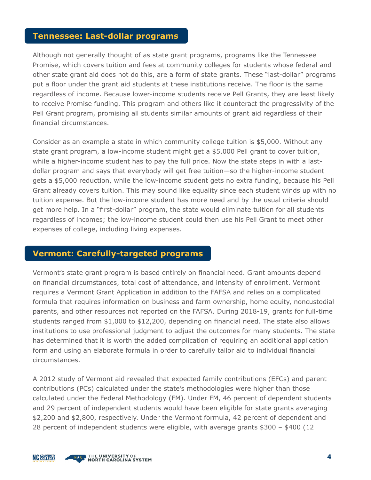#### **Tennessee: Last-dollar programs**

Although not generally thought of as state grant programs, programs like the Tennessee Promise, which covers tuition and fees at community colleges for students whose federal and other state grant aid does not do this, are a form of state grants. These "last-dollar" programs put a floor under the grant aid students at these institutions receive. The floor is the same regardless of income. Because lower-income students receive Pell Grants, they are least likely to receive Promise funding. This program and others like it counteract the progressivity of the Pell Grant program, promising all students similar amounts of grant aid regardless of their financial circumstances.

Consider as an example a state in which community college tuition is \$5,000. Without any state grant program, a low-income student might get a \$5,000 Pell grant to cover tuition, while a higher-income student has to pay the full price. Now the state steps in with a lastdollar program and says that everybody will get free tuition—so the higher-income student gets a \$5,000 reduction, while the low-income student gets no extra funding, because his Pell Grant already covers tuition. This may sound like equality since each student winds up with no tuition expense. But the low-income student has more need and by the usual criteria should get more help. In a "first-dollar" program, the state would eliminate tuition for all students regardless of incomes; the low-income student could then use his Pell Grant to meet other expenses of college, including living expenses.

#### **Vermont: Carefully-targeted programs**

Vermont's state grant program is based entirely on financial need. Grant amounts depend on financial circumstances, total cost of attendance, and intensity of enrollment. Vermont requires a Vermont Grant Application in addition to the FAFSA and relies on a complicated formula that requires information on business and farm ownership, home equity, noncustodial parents, and other resources not reported on the FAFSA. During 2018-19, grants for full-time students ranged from \$1,000 to \$12,200, depending on financial need. The state also allows institutions to use professional judgment to adjust the outcomes for many students. The state has determined that it is worth the added complication of requiring an additional application form and using an elaborate formula in order to carefully tailor aid to individual financial circumstances.

A 2012 study of Vermont aid revealed that expected family contributions (EFCs) and parent contributions (PCs) calculated under the state's methodologies were higher than those calculated under the Federal Methodology (FM). Under FM, 46 percent of dependent students and 29 percent of independent students would have been eligible for state grants averaging \$2,200 and \$2,800, respectively. Under the Vermont formula, 42 percent of dependent and 28 percent of independent students were eligible, with average grants \$300 – \$400 (12

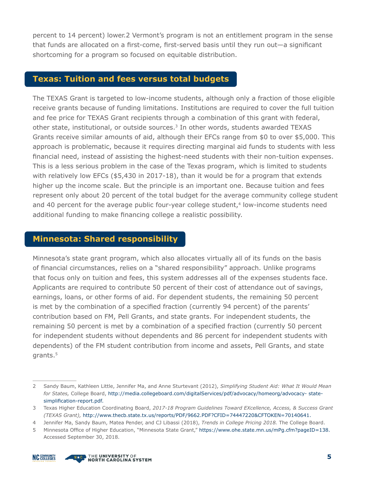percent to 14 percent) lower.2 Vermont's program is not an entitlement program in the sense that funds are allocated on a first-come, first-served basis until they run out—a significant shortcoming for a program so focused on equitable distribution.

#### **Texas: Tuition and fees versus total budgets**

The TEXAS Grant is targeted to low-income students, although only a fraction of those eligible receive grants because of funding limitations. Institutions are required to cover the full tuition and fee price for TEXAS Grant recipients through a combination of this grant with federal, other state, institutional, or outside sources.3 In other words, students awarded TEXAS Grants receive similar amounts of aid, although their EFCs range from \$0 to over \$5,000. This approach is problematic, because it requires directing marginal aid funds to students with less financial need, instead of assisting the highest-need students with their non-tuition expenses. This is a less serious problem in the case of the Texas program, which is limited to students with relatively low EFCs (\$5,430 in 2017-18), than it would be for a program that extends higher up the income scale. But the principle is an important one. Because tuition and fees represent only about 20 percent of the total budget for the average community college student and 40 percent for the average public four-year college student,<sup>4</sup> low-income students need additional funding to make financing college a realistic possibility.

#### **Minnesota: Shared responsibility**

Minnesota's state grant program, which also allocates virtually all of its funds on the basis of financial circumstances, relies on a "shared responsibility" approach. Unlike programs that focus only on tuition and fees, this system addresses all of the expenses students face. Applicants are required to contribute 50 percent of their cost of attendance out of savings, earnings, loans, or other forms of aid. For dependent students, the remaining 50 percent is met by the combination of a specified fraction (currently 94 percent) of the parents' contribution based on FM, Pell Grants, and state grants. For independent students, the remaining 50 percent is met by a combination of a specified fraction (currently 50 percent for independent students without dependents and 86 percent for independent students with dependents) of the FM student contribution from income and assets, Pell Grants, and state grants.<sup>5</sup>



<sup>2</sup> Sandy Baum, Kathleen Little, Jennifer Ma, and Anne Sturtevant (2012), *Simplifying Student Aid: What It Would Mean for States,* College Board, <http://media.collegeboard.com/digitalServices/pdf/advocacy/homeorg/advocacy-> statesimplification-report.pdf.

<sup>3</sup> Texas Higher Education Coordinating Board, *2017-18 Program Guidelines Toward EXcellence, Access, & Success Grant (TEXAS Grant),* [http://www.thecb.state.tx.us/reports/PDF/9662.PDF?CFID=74447220&CFTOKEN=70140641.](http://www.thecb.state.tx.us/reports/PDF/9662.PDF?CFID=74447220&CFTOKEN=70140641)

<sup>4</sup> Jennifer Ma, Sandy Baum, Matea Pender, and CJ Libassi (2018), *Trends in College Pricing 2018.* The College Board.

<sup>5</sup> Minnesota Office of Higher Education, "Minnesota State Grant," https:/[/www.ohe.state.mn.us/mPg.cfm?pageID=138.](http://www.ohe.state.mn.us/mPg.cfm?pageID=138) Accessed September 30, 2018.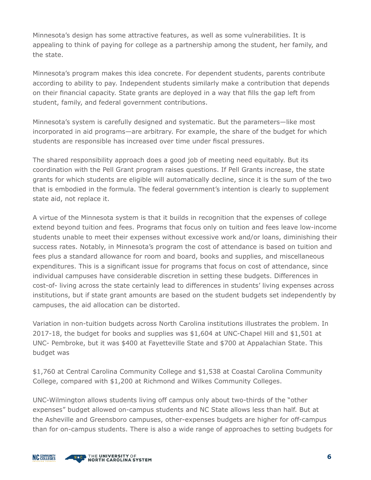Minnesota's design has some attractive features, as well as some vulnerabilities. It is appealing to think of paying for college as a partnership among the student, her family, and the state.

Minnesota's program makes this idea concrete. For dependent students, parents contribute according to ability to pay. Independent students similarly make a contribution that depends on their financial capacity. State grants are deployed in a way that fills the gap left from student, family, and federal government contributions.

Minnesota's system is carefully designed and systematic. But the parameters—like most incorporated in aid programs—are arbitrary. For example, the share of the budget for which students are responsible has increased over time under fiscal pressures.

The shared responsibility approach does a good job of meeting need equitably. But its coordination with the Pell Grant program raises questions. If Pell Grants increase, the state grants for which students are eligible will automatically decline, since it is the sum of the two that is embodied in the formula. The federal government's intention is clearly to supplement state aid, not replace it.

A virtue of the Minnesota system is that it builds in recognition that the expenses of college extend beyond tuition and fees. Programs that focus only on tuition and fees leave low-income students unable to meet their expenses without excessive work and/or loans, diminishing their success rates. Notably, in Minnesota's program the cost of attendance is based on tuition and fees plus a standard allowance for room and board, books and supplies, and miscellaneous expenditures. This is a significant issue for programs that focus on cost of attendance, since individual campuses have considerable discretion in setting these budgets. Differences in cost-of- living across the state certainly lead to differences in students' living expenses across institutions, but if state grant amounts are based on the student budgets set independently by campuses, the aid allocation can be distorted.

Variation in non-tuition budgets across North Carolina institutions illustrates the problem. In 2017-18, the budget for books and supplies was \$1,604 at UNC-Chapel Hill and \$1,501 at UNC- Pembroke, but it was \$400 at Fayetteville State and \$700 at Appalachian State. This budget was

\$1,760 at Central Carolina Community College and \$1,538 at Coastal Carolina Community College, compared with \$1,200 at Richmond and Wilkes Community Colleges.

UNC-Wilmington allows students living off campus only about two-thirds of the "other expenses" budget allowed on-campus students and NC State allows less than half. But at the Asheville and Greensboro campuses, other-expenses budgets are higher for off-campus than for on-campus students. There is also a wide range of approaches to setting budgets for

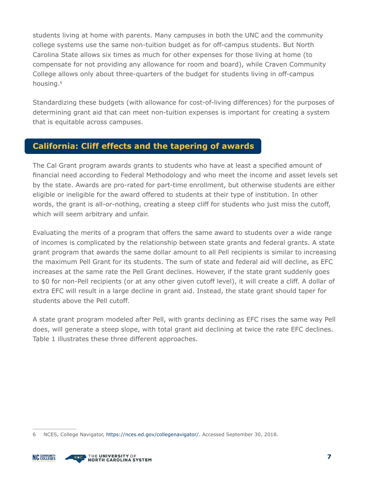students living at home with parents. Many campuses in both the UNC and the community college systems use the same non-tuition budget as for off-campus students. But North Carolina State allows six times as much for other expenses for those living at home (to compensate for not providing any allowance for room and board), while Craven Community College allows only about three-quarters of the budget for students living in off-campus housing.6

Standardizing these budgets (with allowance for cost-of-living differences) for the purposes of determining grant aid that can meet non-tuition expenses is important for creating a system that is equitable across campuses.

#### **California: Cliff effects and the tapering of awards**

The Cal Grant program awards grants to students who have at least a specified amount of financial need according to Federal Methodology and who meet the income and asset levels set by the state. Awards are pro-rated for part-time enrollment, but otherwise students are either eligible or ineligible for the award offered to students at their type of institution. In other words, the grant is all-or-nothing, creating a steep cliff for students who just miss the cutoff, which will seem arbitrary and unfair.

Evaluating the merits of a program that offers the same award to students over a wide range of incomes is complicated by the relationship between state grants and federal grants. A state grant program that awards the same dollar amount to all Pell recipients is similar to increasing the maximum Pell Grant for its students. The sum of state and federal aid will decline, as EFC increases at the same rate the Pell Grant declines. However, if the state grant suddenly goes to \$0 for non-Pell recipients (or at any other given cutoff level), it will create a cliff. A dollar of extra EFC will result in a large decline in grant aid. Instead, the state grant should taper for students above the Pell cutoff.

A state grant program modeled after Pell, with grants declining as EFC rises the same way Pell does, will generate a steep slope, with total grant aid declining at twice the rate EFC declines. Table 1 illustrates these three different approaches.

<sup>6</sup> NCES, College Navigator, https://nces.ed.gov/collegenavigator/. Accessed September 30, 2018.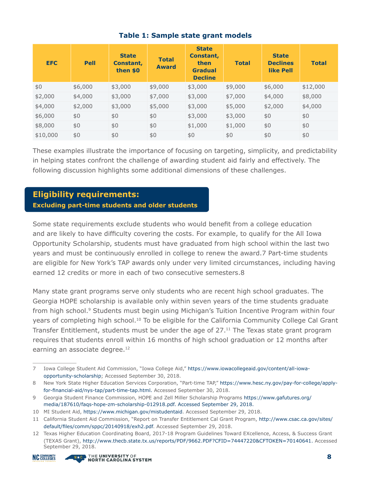| <b>EFC</b> | <b>Pell</b> | <b>State</b><br>Constant,<br>then \$0 | <b>Total</b><br><b>Award</b> | <b>State</b><br>Constant,<br>then<br><b>Gradual</b><br><b>Decline</b> | <b>Total</b> | <b>State</b><br><b>Declines</b><br>like Pell | <b>Total</b> |
|------------|-------------|---------------------------------------|------------------------------|-----------------------------------------------------------------------|--------------|----------------------------------------------|--------------|
| \$0        | \$6,000     | \$3,000                               | \$9,000                      | \$3,000                                                               | \$9,000      | \$6,000                                      | \$12,000     |
| \$2,000    | \$4,000     | \$3,000                               | \$7,000                      | \$3,000                                                               | \$7,000      | \$4,000                                      | \$8,000      |
| \$4,000    | \$2,000     | \$3,000                               | \$5,000                      | \$3,000                                                               | \$5,000      | \$2,000                                      | \$4,000      |
| \$6,000    | \$0         | \$0                                   | \$0                          | \$3,000                                                               | \$3,000      | \$0                                          | \$0          |
| \$8,000    | \$0         | \$0                                   | \$0                          | \$1,000                                                               | \$1,000      | \$0                                          | \$0          |
| \$10,000   | \$0         | \$0                                   | \$0                          | \$0                                                                   | \$0          | \$0                                          | \$0          |

#### **Table 1: Sample state grant models**

These examples illustrate the importance of focusing on targeting, simplicity, and predictability in helping states confront the challenge of awarding student aid fairly and effectively. The following discussion highlights some additional dimensions of these challenges.

#### **Eligibility requirements:**

**Excluding part-time students and older students**

Some state requirements exclude students who would benefit from a college education and are likely to have difficulty covering the costs. For example, to qualify for the All Iowa Opportunity Scholarship, students must have graduated from high school within the last two years and must be continuously enrolled in college to renew the award.7 Part-time students are eligible for New York's TAP awards only under very limited circumstances, including having earned 12 credits or more in each of two consecutive semesters.8

Many state grant programs serve only students who are recent high school graduates. The Georgia HOPE scholarship is available only within seven years of the time students graduate from high school.<sup>9</sup> Students must begin using Michigan's Tuition Incentive Program within four years of completing high school.<sup>10</sup> To be eligible for the California Community College Cal Grant Transfer Entitlement, students must be under the age of 27.<sup>11</sup> The Texas state grant program requires that students enroll within 16 months of high school graduation or 12 months after earning an associate degree.<sup>12</sup>

<sup>12</sup> Texas Higher Education Coordinating Board, 2017-18 Program Guidelines Toward EXcellence, Access, & Success Grant (TEXAS Grant), [http://www.thecb.state.tx.us/reports/PDF/9662.PDF?CFID=74447220&CFTOKEN=70140641. A](http://www.thecb.state.tx.us/reports/PDF/9662.PDF?CFID=74447220&CFTOKEN=70140641)ccessed September 29, 2018.



<sup>7</sup> Iowa College Student Aid Commission, "Iowa College Aid," https://[www.iowacollegeaid.gov/content/all-iowa](http://www.iowacollegeaid.gov/content/all-iowa-)opportunity-scholarship; Accessed September 30, 2018.

<sup>8</sup> New York State Higher Education Services Corporation, "Part-time TAP," https://[www.hesc.ny.gov/pay-for-c](http://www.hesc.ny.gov/pay-for-)ollege/applyfor-financial-aid/nys-tap/part-time-tap.html. Accessed September 30, 2018.

<sup>9</sup> Georgia Student Finance Commission, HOPE and Zell Miller Scholarship Programs https:/[/www.gafutures.org/](http://www.gafutures.org/media/187610/faqs-hope-zm-scholarship-012918.pdf) [media/187610/faqs-hope-zm-scholarship-012918.pdf. A](http://www.gafutures.org/media/187610/faqs-hope-zm-scholarship-012918.pdf)ccessed September 29, 2018.

<sup>10</sup> MI Student Aid, https:/[/www.michigan.gov/mistudentaid](http://www.michigan.gov/mistudentaid). Accessed September 29, 2018.

<sup>11</sup> California Student Aid Commission, "Report on Transfer Entitlement Cal Grant Program, [http://www.csac.ca.gov/sites/](http://www.csac.ca.gov/sites/default/files/comm/sppc/20140918/exh2.pdf) [default/files/comm/sppc/20140918/exh2.pdf](http://www.csac.ca.gov/sites/default/files/comm/sppc/20140918/exh2.pdf). Accessed September 29, 2018.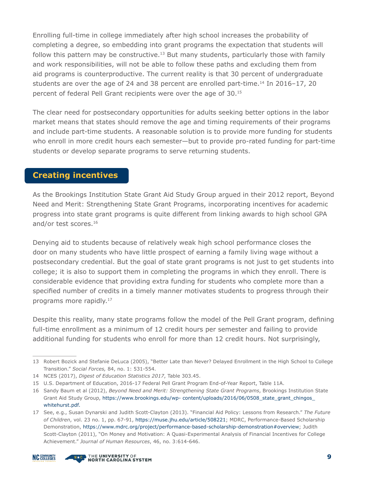Enrolling full-time in college immediately after high school increases the probability of completing a degree, so embedding into grant programs the expectation that students will follow this pattern may be constructive.<sup>13</sup> But many students, particularly those with family and work responsibilities, will not be able to follow these paths and excluding them from aid programs is counterproductive. The current reality is that 30 percent of undergraduate students are over the age of 24 and 38 percent are enrolled part-time.<sup>14</sup> In 2016–17, 20 percent of federal Pell Grant recipients were over the age of 30.15

The clear need for postsecondary opportunities for adults seeking better options in the labor market means that states should remove the age and timing requirements of their programs and include part-time students. A reasonable solution is to provide more funding for students who enroll in more credit hours each semester—but to provide pro-rated funding for part-time students or develop separate programs to serve returning students.

#### **Creating incentives**

As the Brookings Institution State Grant Aid Study Group argued in their 2012 report, Beyond Need and Merit: Strengthening State Grant Programs, incorporating incentives for academic progress into state grant programs is quite different from linking awards to high school GPA and/or test scores.<sup>16</sup>

Denying aid to students because of relatively weak high school performance closes the door on many students who have little prospect of earning a family living wage without a postsecondary credential. But the goal of state grant programs is not just to get students into college; it is also to support them in completing the programs in which they enroll. There is considerable evidence that providing extra funding for students who complete more than a specified number of credits in a timely manner motivates students to progress through their programs more rapidly.<sup>17</sup>

Despite this reality, many state programs follow the model of the Pell Grant program, defining full-time enrollment as a minimum of 12 credit hours per semester and failing to provide additional funding for students who enroll for more than 12 credit hours. Not surprisingly,

<sup>17</sup> See, e.g., Susan Dynarski and Judith Scott-Clayton (2013). "Financial Aid Policy: Lessons from Research." *The Future of Children*, vol. 23 no. 1, pp. 67-91, https://muse.jhu.edu/article/508221; MDRC, Performance-Based Scholarship Demonstration, https://www.mdrc.org/project/performance-based-scholarship-demonstration#overview; Judith Scott-Clayton (2011), "On Money and Motivation: A Quasi-Experimental Analysis of Financial Incentives for College Achievement." *Journal of Human Resources*, 46, no. 3:614-646.





<sup>13</sup> Robert Bozick and Stefanie DeLuca (2005), "Better Late than Never? Delayed Enrollment in the High School to College Transition." *Social Forces,* 84, no. 1: 531-554.

<sup>14</sup> NCES (2017), *Digest of Education Statistics 2017*, Table 303.45.

<sup>15</sup> U.S. Department of Education, 2016-17 Federal Pell Grant Program End-of-Year Report, Table 11A.

<sup>16</sup> Sandy Baum et al (2012), *Beyond Need and Merit: Strengthening State Grant Programs*, Brookings Institution State Grant Aid Study Group, https://[www.brookings.edu/wp-](http://www.brookings.edu/wp-) content/uploads/2016/06/0508\_state\_grant\_chingos\_ whitehurst.pdf.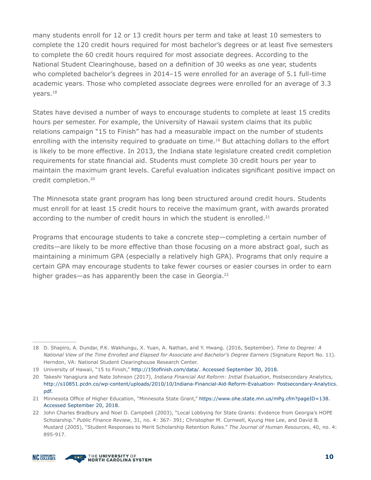many students enroll for 12 or 13 credit hours per term and take at least 10 semesters to complete the 120 credit hours required for most bachelor's degrees or at least five semesters to complete the 60 credit hours required for most associate degrees. According to the National Student Clearinghouse, based on a definition of 30 weeks as one year, students who completed bachelor's degrees in 2014–15 were enrolled for an average of 5.1 full-time academic years. Those who completed associate degrees were enrolled for an average of 3.3 years.18

States have devised a number of ways to encourage students to complete at least 15 credits hours per semester. For example, the University of Hawaii system claims that its public relations campaign "15 to Finish" has had a measurable impact on the number of students enrolling with the intensity required to graduate on time.<sup>19</sup> But attaching dollars to the effort is likely to be more effective. In 2013, the Indiana state legislature created credit completion requirements for state financial aid. Students must complete 30 credit hours per year to maintain the maximum grant levels. Careful evaluation indicates significant positive impact on credit completion.20

The Minnesota state grant program has long been structured around credit hours. Students must enroll for at least 15 credit hours to receive the maximum grant, with awards prorated according to the number of credit hours in which the student is enrolled. $21$ 

Programs that encourage students to take a concrete step—completing a certain number of credits—are likely to be more effective than those focusing on a more abstract goal, such as maintaining a minimum GPA (especially a relatively high GPA). Programs that only require a certain GPA may encourage students to take fewer courses or easier courses in order to earn higher grades—as has apparently been the case in Georgia.<sup>22</sup>



<sup>18</sup> D. Shapiro, A. Dundar, P.K. Wakhungu, X. Yuan, A. Nathan, and Y. Hwang. (2016, September). *Time to Degree: A National View of the Time Enrolled and Elapsed for Associate and Bachelor's Degree Earners* (Signature Report No. 11). Herndon, VA: National Student Clearinghouse Research Center.

<sup>19</sup> University of Hawaii, "15 to Finish," [http://15tofinish.com/data/.](http://15tofinish.com/data/) Accessed September 30, 2018.

<sup>20</sup> Takeshi Yanagiura and Nate Johnson (2017), *Indiana Financial Aid Reform: Initial Evaluation*, Postsecondary Analytics, <http://s10851.pcdn.co/wp-content/uploads/2010/10/Indiana-Financial-Aid-Reform-Evaluation->Postsecondary-Analytics. pdf.

<sup>21</sup> Minnesota Office of Higher Education, "Minnesota State Grant," https:/[/www.ohe.state.mn.us/mPg.cfm?pageID=138.](http://www.ohe.state.mn.us/mPg.cfm?pageID=138)  Accessed September 20, 2018.

<sup>22</sup> John Charles Bradbury and Noel D. Campbell (2003), "Local Lobbying for State Grants: Evidence from Georgia's HOPE Scholarship." *Public Finance Review*, 31, no. 4: 367- 391; Christopher M. Cornwell, Kyung Hee Lee, and David B. Mustard (2005), "Student Responses to Merit Scholarship Retention Rules." *The Journal of Human Resources*, 40, no. 4: 895-917.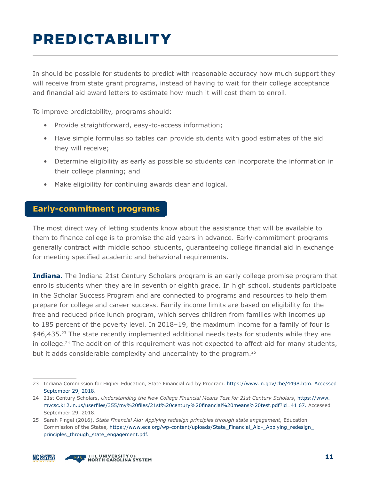# PREDICTABILITY

In should be possible for students to predict with reasonable accuracy how much support they will receive from state grant programs, instead of having to wait for their college acceptance and financial aid award letters to estimate how much it will cost them to enroll.

To improve predictability, programs should:

- Provide straightforward, easy-to-access information;
- Have simple formulas so tables can provide students with good estimates of the aid they will receive;
- Determine eligibility as early as possible so students can incorporate the information in their college planning; and
- Make eligibility for continuing awards clear and logical.

#### **Early-commitment programs**

The most direct way of letting students know about the assistance that will be available to them to finance college is to promise the aid years in advance. Early-commitment programs generally contract with middle school students, guaranteeing college financial aid in exchange for meeting specified academic and behavioral requirements.

**Indiana.** The Indiana 21st Century Scholars program is an early college promise program that enrolls students when they are in seventh or eighth grade. In high school, students participate in the Scholar Success Program and are connected to programs and resources to help them prepare for college and career success. Family income limits are based on eligibility for the free and reduced price lunch program, which serves children from families with incomes up to 185 percent of the poverty level. In 2018–19, the maximum income for a family of four is  $$46,435.<sup>23</sup>$  The state recently implemented additional needs tests for students while they are in college.<sup>24</sup> The addition of this requirement was not expected to affect aid for many students, but it adds considerable complexity and uncertainty to the program.<sup>25</sup>

<sup>25</sup> Sarah Pingel (2016), *State Financial Aid: Applying redesign principles through state engagement,* Education Commission of the States, https:/[/www.ecs.org/wp-content/uploads/State\\_Financial\\_Aid-](http://www.ecs.org/wp-content/uploads/State_Financial_Aid-)\_Applying\_redesign\_ principles through state engagement.pdf.





<sup>23</sup> Indiana Commission for Higher Education, State Financial Aid by Program. https://[www.in.gov/che/4498.htm.](http://www.in.gov/che/4498.htm) Accessed September 29, 2018.

<sup>24</sup> 21st Century Scholars, *Understanding the New College Financial Means Test for 21st Century Scholars*, https:/[/www.](http://www.mvcsc.k12.in.us/userfiles/355/my%20files/21st%20century%20financial%20means%20test.pdf?id=41) [mvcsc.k12.in.us/userfiles/355/my%20files/21st%20century%20financial%20means%20test.pdf?id=41](http://www.mvcsc.k12.in.us/userfiles/355/my%20files/21st%20century%20financial%20means%20test.pdf?id=41) 67. Accessed September 29, 2018.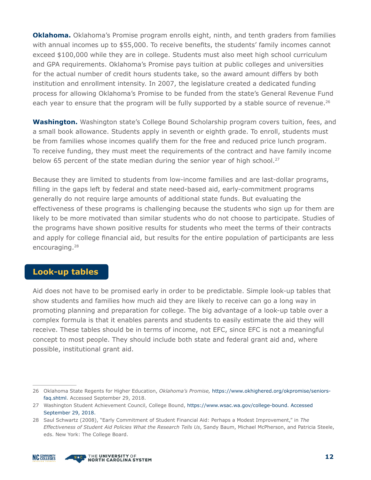**Oklahoma.** Oklahoma's Promise program enrolls eight, ninth, and tenth graders from families with annual incomes up to \$55,000. To receive benefits, the students' family incomes cannot exceed \$100,000 while they are in college. Students must also meet high school curriculum and GPA requirements. Oklahoma's Promise pays tuition at public colleges and universities for the actual number of credit hours students take, so the award amount differs by both institution and enrollment intensity. In 2007, the legislature created a dedicated funding process for allowing Oklahoma's Promise to be funded from the state's General Revenue Fund each year to ensure that the program will be fully supported by a stable source of revenue.<sup>26</sup>

**Washington.** Washington state's College Bound Scholarship program covers tuition, fees, and a small book allowance. Students apply in seventh or eighth grade. To enroll, students must be from families whose incomes qualify them for the free and reduced price lunch program. To receive funding, they must meet the requirements of the contract and have family income below 65 percent of the state median during the senior year of high school.<sup>27</sup>

Because they are limited to students from low-income families and are last-dollar programs, filling in the gaps left by federal and state need-based aid, early-commitment programs generally do not require large amounts of additional state funds. But evaluating the effectiveness of these programs is challenging because the students who sign up for them are likely to be more motivated than similar students who do not choose to participate. Studies of the programs have shown positive results for students who meet the terms of their contracts and apply for college financial aid, but results for the entire population of participants are less encouraging.<sup>28</sup>

#### **Look-up tables**

Aid does not have to be promised early in order to be predictable. Simple look-up tables that show students and families how much aid they are likely to receive can go a long way in promoting planning and preparation for college. The big advantage of a look-up table over a complex formula is that it enables parents and students to easily estimate the aid they will receive. These tables should be in terms of income, not EFC, since EFC is not a meaningful concept to most people. They should include both state and federal grant aid and, where possible, institutional grant aid.



<sup>26</sup> Oklahoma State Regents for Higher Education, *Oklahoma's Promise,* https://[www.okhighered.org/okpromise/seniors](http://www.okhighered.org/okpromise/seniors-faq.shtml)[faq.shtml.](http://www.okhighered.org/okpromise/seniors-faq.shtml) Accessed September 29, 2018.

<sup>27</sup> Washington Student Achievement Council, College Bound, https:/[/www.wsac.wa.gov/college-bound. A](http://www.wsac.wa.gov/college-bound)ccessed September 29, 2018.

<sup>28</sup> Saul Schwartz (2008), "Early Commitment of Student Financial Aid: Perhaps a Modest Improvement," in *The Effectiveness of Student Aid Policies What the Research Tells Us*, Sandy Baum, Michael McPherson, and Patricia Steele, eds. New York: The College Board.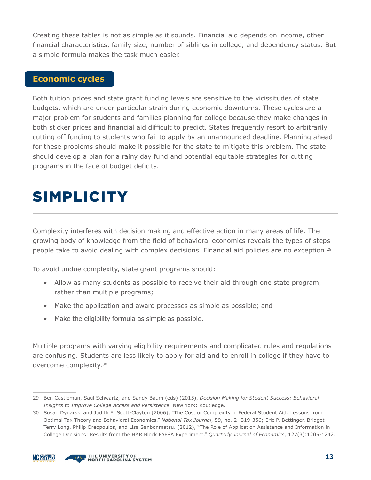Creating these tables is not as simple as it sounds. Financial aid depends on income, other financial characteristics, family size, number of siblings in college, and dependency status. But a simple formula makes the task much easier.

#### **Economic cycles**

Both tuition prices and state grant funding levels are sensitive to the vicissitudes of state budgets, which are under particular strain during economic downturns. These cycles are a major problem for students and families planning for college because they make changes in both sticker prices and financial aid difficult to predict. States frequently resort to arbitrarily cutting off funding to students who fail to apply by an unannounced deadline. Planning ahead for these problems should make it possible for the state to mitigate this problem. The state should develop a plan for a rainy day fund and potential equitable strategies for cutting programs in the face of budget deficits.

# SIMPLICITY

Complexity interferes with decision making and effective action in many areas of life. The growing body of knowledge from the field of behavioral economics reveals the types of steps people take to avoid dealing with complex decisions. Financial aid policies are no exception.29

To avoid undue complexity, state grant programs should:

- Allow as many students as possible to receive their aid through one state program, rather than multiple programs;
- Make the application and award processes as simple as possible; and
- Make the eligibility formula as simple as possible.

Multiple programs with varying eligibility requirements and complicated rules and regulations are confusing. Students are less likely to apply for aid and to enroll in college if they have to overcome complexity.30



<sup>29</sup> Ben Castleman, Saul Schwartz, and Sandy Baum (eds) (2015), *Decision Making for Student Success: Behavioral Insights to Improve College Access and Persistence.* New York: Routledge.

<sup>30</sup> Susan Dynarski and Judith E. Scott-Clayton (2006), "The Cost of Complexity in Federal Student Aid: Lessons from Optimal Tax Theory and Behavioral Economics." *National Tax Journal*, 59, no. 2: 319-356; Eric P. Bettinger, Bridget Terry Long, Philip Oreopoulos, and Lisa Sanbonmatsu. (2012), "The Role of Application Assistance and Information in College Decisions: Results from the H&R Block FAFSA Experiment." *Quarterly Journal of Economics*, 127(3):1205-1242.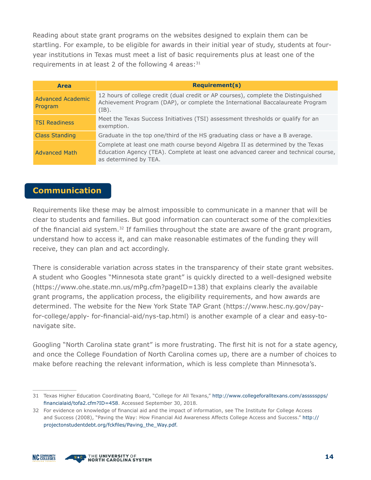Reading about state grant programs on the websites designed to explain them can be startling. For example, to be eligible for awards in their initial year of study, students at fouryear institutions in Texas must meet a list of basic requirements plus at least one of the requirements in at least 2 of the following 4 areas: $31$ 

| <b>Area</b>                         | <b>Requirement(s)</b>                                                                                                                                                                          |
|-------------------------------------|------------------------------------------------------------------------------------------------------------------------------------------------------------------------------------------------|
| <b>Advanced Academic</b><br>Program | 12 hours of college credit (dual credit or AP courses), complete the Distinguished<br>Achievement Program (DAP), or complete the International Baccalaureate Program<br>$(IB)$ .               |
| <b>TSI Readiness</b>                | Meet the Texas Success Initiatives (TSI) assessment thresholds or qualify for an<br>exemption.                                                                                                 |
| <b>Class Standing</b>               | Graduate in the top one/third of the HS graduating class or have a B average.                                                                                                                  |
| <b>Advanced Math</b>                | Complete at least one math course beyond Algebra II as determined by the Texas<br>Education Agency (TEA). Complete at least one advanced career and technical course,<br>as determined by TEA. |

#### **Communication**

Requirements like these may be almost impossible to communicate in a manner that will be clear to students and families. But good information can counteract some of the complexities of the financial aid system. $32$  If families throughout the state are aware of the grant program, understand how to access it, and can make reasonable estimates of the funding they will receive, they can plan and act accordingly.

There is considerable variation across states in the transparency of their state grant websites. A student who Googles "Minnesota state grant" is quickly directed to a well-designed website (https:/[/www.ohe.state.mn.us/mPg.cfm?pageID=138\)](http://www.ohe.state.mn.us/mPg.cfm?pageID=138)) that explains clearly the available grant programs, the application process, the eligibility requirements, and how awards are determined. The website for the New York State TAP Grant (https:/[/www.hesc.ny.gov/pay](http://www.hesc.ny.gov/pay-for-college/apply-)[for-college/apply-](http://www.hesc.ny.gov/pay-for-college/apply-) for-financial-aid/nys-tap.html) is another example of a clear and easy-tonavigate site.

Googling "North Carolina state grant" is more frustrating. The first hit is not for a state agency, and once the College Foundation of North Carolina comes up, there are a number of choices to make before reaching the relevant information, which is less complete than Minnesota's.





<sup>31</sup> Texas Higher Education Coordinating Board, "College for All Texans," [http://www.collegeforalltexans.com/assssspps/](http://www.collegeforalltexans.com/assssspps/financialaid/tofa2.cfm?ID=458) [financialaid/tofa2.cfm?ID=458](http://www.collegeforalltexans.com/assssspps/financialaid/tofa2.cfm?ID=458). Accessed September 30, 2018.

<sup>32</sup> For evidence on knowledge of financial aid and the impact of information, see The Institute for College Access and Success (2008), "Paving the Way: How Financial Aid Awareness Affects College Access and Success." [http://](http://projectonstudentdebt.org/fckfiles/Paving_the_Way.pdf.) [projectonstudentdebt.org/fckfiles/Paving\\_the\\_Way.pdf.](http://projectonstudentdebt.org/fckfiles/Paving_the_Way.pdf.)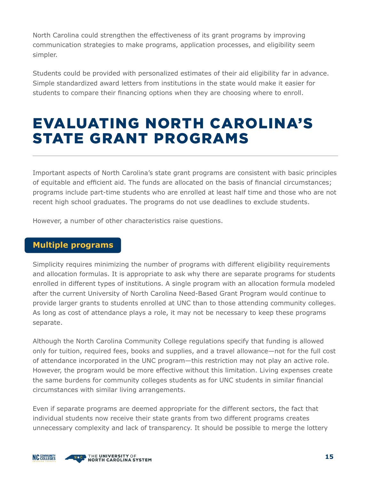North Carolina could strengthen the effectiveness of its grant programs by improving communication strategies to make programs, application processes, and eligibility seem simpler.

Students could be provided with personalized estimates of their aid eligibility far in advance. Simple standardized award letters from institutions in the state would make it easier for students to compare their financing options when they are choosing where to enroll.

### EVALUATING NORTH CAROLINA'S STATE GRANT PROGRAMS

Important aspects of North Carolina's state grant programs are consistent with basic principles of equitable and efficient aid. The funds are allocated on the basis of financial circumstances; programs include part-time students who are enrolled at least half time and those who are not recent high school graduates. The programs do not use deadlines to exclude students.

However, a number of other characteristics raise questions.

#### **Multiple programs**

Simplicity requires minimizing the number of programs with different eligibility requirements and allocation formulas. It is appropriate to ask why there are separate programs for students enrolled in different types of institutions. A single program with an allocation formula modeled after the current University of North Carolina Need-Based Grant Program would continue to provide larger grants to students enrolled at UNC than to those attending community colleges. As long as cost of attendance plays a role, it may not be necessary to keep these programs separate.

Although the North Carolina Community College regulations specify that funding is allowed only for tuition, required fees, books and supplies, and a travel allowance—not for the full cost of attendance incorporated in the UNC program—this restriction may not play an active role. However, the program would be more effective without this limitation. Living expenses create the same burdens for community colleges students as for UNC students in similar financial circumstances with similar living arrangements.

Even if separate programs are deemed appropriate for the different sectors, the fact that individual students now receive their state grants from two different programs creates unnecessary complexity and lack of transparency. It should be possible to merge the lottery

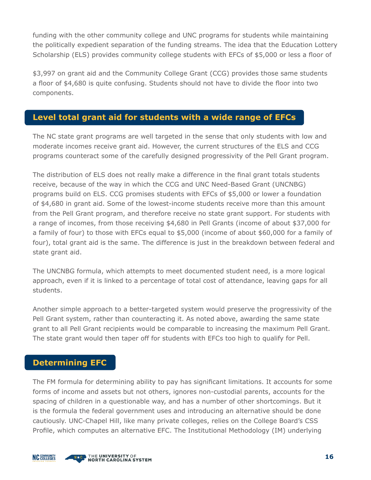funding with the other community college and UNC programs for students while maintaining the politically expedient separation of the funding streams. The idea that the Education Lottery Scholarship (ELS) provides community college students with EFCs of \$5,000 or less a floor of

\$3,997 on grant aid and the Community College Grant (CCG) provides those same students a floor of \$4,680 is quite confusing. Students should not have to divide the floor into two components.

#### **Level total grant aid for students with a wide range of EFCs**

The NC state grant programs are well targeted in the sense that only students with low and moderate incomes receive grant aid. However, the current structures of the ELS and CCG programs counteract some of the carefully designed progressivity of the Pell Grant program.

The distribution of ELS does not really make a difference in the final grant totals students receive, because of the way in which the CCG and UNC Need-Based Grant (UNCNBG) programs build on ELS. CCG promises students with EFCs of \$5,000 or lower a foundation of \$4,680 in grant aid. Some of the lowest-income students receive more than this amount from the Pell Grant program, and therefore receive no state grant support. For students with a range of incomes, from those receiving \$4,680 in Pell Grants (income of about \$37,000 for a family of four) to those with EFCs equal to \$5,000 (income of about \$60,000 for a family of four), total grant aid is the same. The difference is just in the breakdown between federal and state grant aid.

The UNCNBG formula, which attempts to meet documented student need, is a more logical approach, even if it is linked to a percentage of total cost of attendance, leaving gaps for all students.

Another simple approach to a better-targeted system would preserve the progressivity of the Pell Grant system, rather than counteracting it. As noted above, awarding the same state grant to all Pell Grant recipients would be comparable to increasing the maximum Pell Grant. The state grant would then taper off for students with EFCs too high to qualify for Pell.

#### **Determining EFC**

The FM formula for determining ability to pay has significant limitations. It accounts for some forms of income and assets but not others, ignores non-custodial parents, accounts for the spacing of children in a questionable way, and has a number of other shortcomings. But it is the formula the federal government uses and introducing an alternative should be done cautiously. UNC-Chapel Hill, like many private colleges, relies on the College Board's CSS Profile, which computes an alternative EFC. The Institutional Methodology (IM) underlying

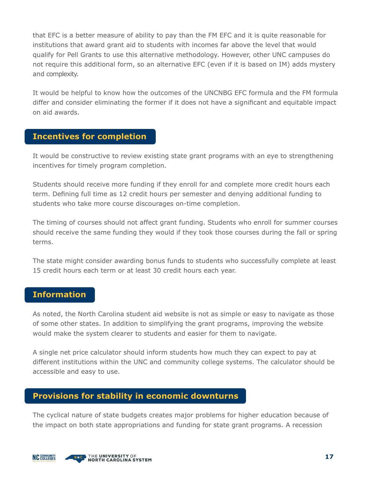that EFC is a better measure of ability to pay than the FM EFC and it is quite reasonable for institutions that award grant aid to students with incomes far above the level that would qualify for Pell Grants to use this alternative methodology. However, other UNC campuses do not require this additional form, so an alternative EFC (even if it is based on IM) adds mystery and complexity.

It would be helpful to know how the outcomes of the UNCNBG EFC formula and the FM formula differ and consider eliminating the former if it does not have a significant and equitable impact on aid awards.

#### **Incentives for completion**

It would be constructive to review existing state grant programs with an eye to strengthening incentives for timely program completion.

Students should receive more funding if they enroll for and complete more credit hours each term. Defining full time as 12 credit hours per semester and denying additional funding to students who take more course discourages on-time completion.

The timing of courses should not affect grant funding. Students who enroll for summer courses should receive the same funding they would if they took those courses during the fall or spring terms.

The state might consider awarding bonus funds to students who successfully complete at least 15 credit hours each term or at least 30 credit hours each year.

#### **Information**

As noted, the North Carolina student aid website is not as simple or easy to navigate as those of some other states. In addition to simplifying the grant programs, improving the website would make the system clearer to students and easier for them to navigate.

A single net price calculator should inform students how much they can expect to pay at different institutions within the UNC and community college systems. The calculator should be accessible and easy to use.

#### **Provisions for stability in economic downturns**

The cyclical nature of state budgets creates major problems for higher education because of the impact on both state appropriations and funding for state grant programs. A recession



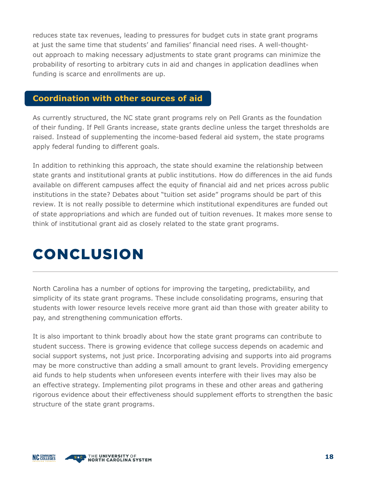reduces state tax revenues, leading to pressures for budget cuts in state grant programs at just the same time that students' and families' financial need rises. A well-thoughtout approach to making necessary adjustments to state grant programs can minimize the probability of resorting to arbitrary cuts in aid and changes in application deadlines when funding is scarce and enrollments are up.

#### **Coordination with other sources of aid**

As currently structured, the NC state grant programs rely on Pell Grants as the foundation of their funding. If Pell Grants increase, state grants decline unless the target thresholds are raised. Instead of supplementing the income-based federal aid system, the state programs apply federal funding to different goals.

In addition to rethinking this approach, the state should examine the relationship between state grants and institutional grants at public institutions. How do differences in the aid funds available on different campuses affect the equity of financial aid and net prices across public institutions in the state? Debates about "tuition set aside" programs should be part of this review. It is not really possible to determine which institutional expenditures are funded out of state appropriations and which are funded out of tuition revenues. It makes more sense to think of institutional grant aid as closely related to the state grant programs.

### CONCLUSION

North Carolina has a number of options for improving the targeting, predictability, and simplicity of its state grant programs. These include consolidating programs, ensuring that students with lower resource levels receive more grant aid than those with greater ability to pay, and strengthening communication efforts.

It is also important to think broadly about how the state grant programs can contribute to student success. There is growing evidence that college success depends on academic and social support systems, not just price. Incorporating advising and supports into aid programs may be more constructive than adding a small amount to grant levels. Providing emergency aid funds to help students when unforeseen events interfere with their lives may also be an effective strategy. Implementing pilot programs in these and other areas and gathering rigorous evidence about their effectiveness should supplement efforts to strengthen the basic structure of the state grant programs.

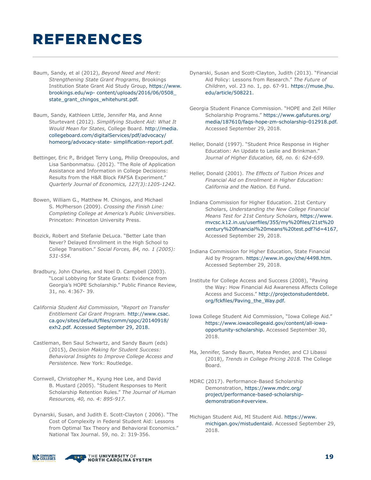# REFERENCES

- Baum, Sandy, et al (2012), *Beyond Need and Merit: Strengthening State Grant Programs*, Brookings Institution State Grant Aid Study Group, https://[www.](http://www.brookings.edu/wp-) [brookings.edu/wp-](http://www.brookings.edu/wp-) content/uploads/2016/06/0508\_ state\_grant\_chingos\_whitehurst.pdf.
- Baum, Sandy, Kathleen Little, Jennifer Ma, and Anne Sturtevant (2012). *Simplifying Student Aid: What It Would Mean for States,* College Board. [http://media.](http://media.collegeboard.com/digitalServices/pdf/advocacy/homeorg/advocacy-state-) [collegeboard.com/digitalServices/pdf/advocacy/](http://media.collegeboard.com/digitalServices/pdf/advocacy/homeorg/advocacy-state-) [homeorg/advocacy-state-](http://media.collegeboard.com/digitalServices/pdf/advocacy/homeorg/advocacy-state-) simplification-report.pdf.
- Bettinger, Eric P., Bridget Terry Long, Philip Oreopoulos, and Lisa Sanbonmatsu. (2012). "The Role of Application Assistance and Information in College Decisions: Results from the H&R Block FAFSA Experiment." *Quarterly Journal of Economics, 127(3):1205-1242.*
- Bowen, William G., Matthew M. Chingos, and Michael S. McPherson (2009). *Crossing the Finish Line: Completing College at America's Public Universities*. Princeton: Princeton University Press.
- Bozick, Robert and Stefanie DeLuca. "Better Late than Never? Delayed Enrollment in the High School to College Transition." *Social Forces, 84, no. 1 (2005): 531-554.*
- Bradbury, John Charles, and Noel D. Campbell (2003). "Local Lobbying for State Grants: Evidence from Georgia's HOPE Scholarship." Public Finance Review, 31, no. 4:367- 39.
- *California Student Aid Commission, "Report on Transfer Entitlement Cal Grant Program.* [http://www.csac.](http://www.csac.ca.gov/sites/default/files/comm/sppc/20140918/exh2.pdf) [ca.gov/sites/default/files/comm/sppc/20140918/](http://www.csac.ca.gov/sites/default/files/comm/sppc/20140918/exh2.pdf) [exh2.pdf.](http://www.csac.ca.gov/sites/default/files/comm/sppc/20140918/exh2.pdf) Accessed September 29, 2018.
- Castleman, Ben Saul Schwartz, and Sandy Baum (eds) (2015), *Decision Making for Student Success: Behavioral Insights to Improve College Access and Persistence.* New York: Routledge.
- Cornwell, Christopher M., Kyung Hee Lee, and David B. Mustard (2005). "Student Responses to Merit Scholarship Retention Rules." *The Journal of Human Resources, 40, no. 4: 895-917.*
- Dynarski, Susan, and Judith E. Scott-Clayton ( 2006). "The Cost of Complexity in Federal Student Aid: Lessons from Optimal Tax Theory and Behavioral Economics." National Tax Journal. 59, no. 2: 319-356.
- Dynarski, Susan and Scott-Clayton, Judith (2013). "Financial Aid Policy: Lessons from Research." *The Future of Children*, vol. 23 no. 1, pp. 67-91. https://muse.jhu. edu/article/508221.
- Georgia Student Finance Commission. "HOPE and Zell Miller Scholarship Programs." https:/[/www.gafutures.org/](http://www.gafutures.org/media/187610/faqs-hope-zm-scholarship-012918.pdf) [media/187610/faqs-hope-zm-scholarship-012918.pdf.](http://www.gafutures.org/media/187610/faqs-hope-zm-scholarship-012918.pdf) Accessed September 29, 2018.
- Heller, Donald (1997). "Student Price Response in Higher Education: An Update to Leslie and Brinkman." *Journal of Higher Education, 68, no. 6: 624-659.*
- Heller, Donald (2001). *The Effects of Tuition Prices and Financial Aid on Enrollment in Higher Education: California and the Nation.* Ed Fund.
- Indiana Commission for Higher Education. 21st Century Scholars, *Understanding the New College Financial Means Test for 21st Century Scholars,* https:/[/www.](http://www.mvcsc.k12.in.us/userfiles/355/my%20files/21st%20century%20financial%20means) [mvcsc.k12.in.us/userfiles/355/my%20files/21st%20](http://www.mvcsc.k12.in.us/userfiles/355/my%20files/21st%20century%20financial%20means) [century%20financial%20means%](http://www.mvcsc.k12.in.us/userfiles/355/my%20files/21st%20century%20financial%20means)20test.pdf?id=4167, Accessed September 29, 2018.
- Indiana Commission for Higher Education, State Financial Aid by Program. https:/[/www.in.gov/che/4498.htm.](http://www.in.gov/che/4498.htm) Accessed September 29, 2018.
- Institute for College Access and Success (2008), "Paving the Way: How Financial Aid Awareness Affects College Access and Success." [http://projectonstudentdebt.](http://projectonstudentdebt.org/fckfiles/Paving_the_Way.pdf) [org/fckfiles/Paving\\_the\\_Way.pdf.](http://projectonstudentdebt.org/fckfiles/Paving_the_Way.pdf)
- Iowa College Student Aid Commission, "Iowa College Aid." https:/[/www.iowacollegeaid.gov/content/all-iowa](http://www.iowacollegeaid.gov/content/all-iowa-opportunity-scholarship)[opportunity-scholarship.](http://www.iowacollegeaid.gov/content/all-iowa-opportunity-scholarship) Accessed September 30, 2018.
- Ma, Jennifer, Sandy Baum, Matea Pender, and CJ Libassi (2018), *Trends in College Pricing 2018.* The College Board.
- MDRC (2017). Performance-Based Scholarship Demonstration, https://www.mdrc.org/ project/performance-based-scholarshipdemonstration#overview.
- Michigan Student Aid, MI Student Aid. https:/[/www.](http://www.michigan.gov/mistudentaid) [michigan.gov/mistudentaid.](http://www.michigan.gov/mistudentaid) Accessed September 29, 2018.